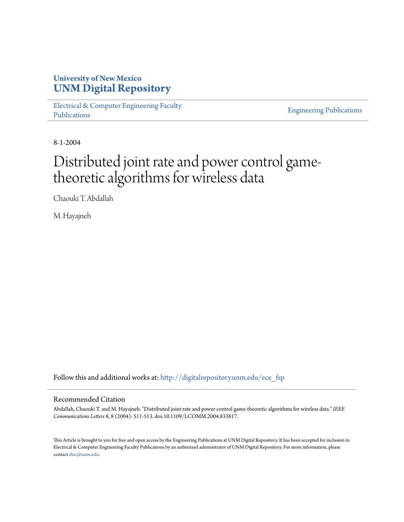# **University of New Mexico [UNM Digital Repository](http://digitalrepository.unm.edu?utm_source=digitalrepository.unm.edu%2Fece_fsp%2F218&utm_medium=PDF&utm_campaign=PDFCoverPages)**

[Electrical & Computer Engineering Faculty](http://digitalrepository.unm.edu/ece_fsp?utm_source=digitalrepository.unm.edu%2Fece_fsp%2F218&utm_medium=PDF&utm_campaign=PDFCoverPages) [Publications](http://digitalrepository.unm.edu/ece_fsp?utm_source=digitalrepository.unm.edu%2Fece_fsp%2F218&utm_medium=PDF&utm_campaign=PDFCoverPages)

[Engineering Publications](http://digitalrepository.unm.edu/eng_fsp?utm_source=digitalrepository.unm.edu%2Fece_fsp%2F218&utm_medium=PDF&utm_campaign=PDFCoverPages)

8-1-2004

# Distributed joint rate and power control gametheoretic algorithms for wireless data

Chaouki T. Abdallah

M. Hayajneh

Follow this and additional works at: [http://digitalrepository.unm.edu/ece\\_fsp](http://digitalrepository.unm.edu/ece_fsp?utm_source=digitalrepository.unm.edu%2Fece_fsp%2F218&utm_medium=PDF&utm_campaign=PDFCoverPages)

# Recommended Citation

Abdallah, Chaouki T. and M. Hayajneh. "Distributed joint rate and power control game-theoretic algorithms for wireless data." *IEEE Communications Letters* 8, 8 (2004): 511-513. doi:10.1109/LCOMM.2004.833817.

This Article is brought to you for free and open access by the Engineering Publications at UNM Digital Repository. It has been accepted for inclusion in Electrical & Computer Engineering Faculty Publications by an authorized administrator of UNM Digital Repository. For more information, please contact [disc@unm.edu.](mailto:disc@unm.edu)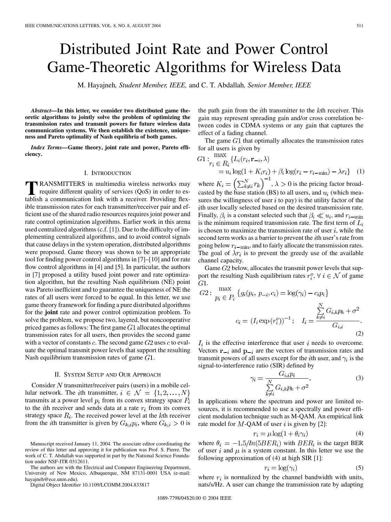# Distributed Joint Rate and Power Control Game-Theoretic Algorithms for Wireless Data

M. Hayajneh*, Student Member, IEEE,* and C. T. Abdallah*, Senior Member, IEEE*

*Abstract—***In this letter, we consider two distributed game theoretic algorithms to jointly solve the problem of optimizing the transmission rates and transmit powers for future wireless data communication systems. We then establish the existence, uniqueness and Pareto optimality of Nash equilibria of both games.**

*Index Terms—***Game theory, joint rate and power, Pareto efficiency.**

#### I. INTRODUCTION

**T**RANSMITTERS in multimedia wireless networks may require different quality of services (QoS) in order to establish a communication link with a receiver. Providing flexible transmission rates for each transmitter/receiver pair and efficient use of the shared radio resources requires joint power and rate control optimization algorithms. Earlier work in this arena used centralized algorithms (c.f. [\[1](#page-3-0)]). Due to the difficulty of implementing centralized algorithms, and to avoid control signals that cause delays in the system operation, distributed algorithms were proposed. Game theory was shown to be an appropriate tool for finding power control algorithms in [[7\]](#page-3-0)–[\[10](#page-3-0)] and for rate flow control algorithms in [\[4](#page-3-0)] and [\[5](#page-3-0)]. In particular, the authors in [[7\]](#page-3-0) proposed a utility based joint power and rate optimization algorithm, but the resulting Nash equilibrium (NE) point was Pareto inefficient and to guarantee the uniqueness of NE the rates of all users were forced to be equal. In this letter, we use game theory framework for finding a pure distributed algorithms for the **joint** rate and power control optimization problem. To solve the problem, we propose two, layered, but noncooperative priced games as follows: The first game  $G1$  allocates the optimal transmission rates for all users, then provides the second game with a vector of constants  $c$ . The second game  $G2$  uses  $c$  to evaluate the optimal transmit power levels that support the resulting Nash equilibrium transmission rates of game  $G1$ .

#### II. SYSTEM SETUP AND OUR APPROACH

Consider  $N$  transmitter/receiver pairs (users) in a mobile cellular network. The *i*th transmitter,  $i \in \mathcal{N} = \{1, 2, ..., N\}$ transmits at a power level  $p_i$  from its convex strategy space  $P_i$ to the *i*th receiver and sends data at a rate  $r_i$  from its convex strategy space  $R_i$ . The received power level at the kth receiver from the *i*th transmitter is given by  $G_{k,i}p_i$ , where  $G_{k,i} > 0$  is

The authors are with the Electrical and Computer Engineering Department, University of New Mexico, Albuquerque, NM 87131-0001 USA (e-mail: hayajneh@ece.unm.edu).

Digital Object Identifier 10.1109/LCOMM.2004.833817

the path gain from the *i*th transmitter to the  $k$ th receiver. This gain may represent spreading gain and/or cross correlation between codes in CDMA systems or any gain that captures the effect of a fading channel.

The game  $G1$  that optimally allocates the transmission rates for all users is given by

$$
G1: \max_{r_i \in R_i} \{ L_i(r_i, \mathbf{r}_{-i}, \lambda) = u_i \log(1 + K_i r_i) + \beta_i \log(r_i - r_{i-\min}) - \lambda r_i \} \quad (1)
$$

where  $K_i = \left(\sum_{k=i}^{N} r_k\right)$ ,  $\lambda > 0$  is the pricing factor broadcasted by the base station (BS) to all users, and  $u_i$  (which measures the willingness of user  $i$  to pay) is the utility factor of the ith user locally selected based on the desired transmission rate. Finally,  $\beta_i$  is a constant selected such that  $\beta_i \ll u_i$ , and  $r_{i-min}$ is the minimum required transmission rate. The first term of  $L_i$ is chosen to maximize the transmission rate of user  $i$ , while the second term works as a barrier to prevent the *i*th user's rate from going below  $r_{i-min}$ , and to fairly allocate the transmission rates. The goal of  $\lambda r_i$  is to prevent the greedy use of the available channel capacity.

Game  $G2$  below, allocates the transmit power levels that support the resulting Nash equilibrium rates  $r_i^o$ ,  $\forall i \in \mathcal{N}$  of game  $G1.$ 

$$
G2: \frac{\max}{p_i \in P_i} \left\{ g_i(p_i, p_{-i}, c_i) = \log(\gamma_i) - c_i p_i \right\}
$$

$$
c_i = (I_i \exp(r_i^o))^{-1}; \quad I_i = \frac{\sum_{k \neq i}^{N} G_{i,k} p_k + \sigma^2}{G_{i,i}}.
$$
(2)

 $I_i$  is the effective interference that user i needs to overcome. Vectors  $\mathbf{r}_{-i}$  and  $\mathbf{p}_{-i}$  are the vectors of transmission rates and transmit powers of all users except for the *i*th user, and  $\gamma_i$  is the signal-to-interference ratio (SIR) defined by

$$
\gamma_i = \frac{G_{i,i}p_i}{\sum\limits_{k \neq i}^{N} G_{i,k}p_k + \sigma^2}.
$$
\n(3)

In applications where the spectrum and power are limited resources, it is recommended to use a spectrally and power efficient modulation technique such as M-QAM. An empirical link rate model for  $M$ -QAM of user i is given by [\[2](#page-3-0)]:

$$
r_i = \mu \log(1 + \theta_i \gamma_i) \tag{4}
$$

where  $\theta_i = -1.5/ln(5BER_i)$  with  $BER_i$  is the target BER of user i and  $\mu$  is a system constant. In this letter we use the following approximation of (4) at high SIR [[1\]](#page-3-0):

$$
r_i = \log(\gamma_i) \tag{5}
$$

where  $r_i$  is normalized by the channel bandwidth with units, nats/s/Hz. A user can change the transmission rate by adapting

Manuscript received January 11, 2004. The associate editor coordinating the review of this letter and approving it for publication was Prof. S. Pierre. The work of C. T. Abdallah was supported in part by the National Science Foundation under NSF-ITR 0312611.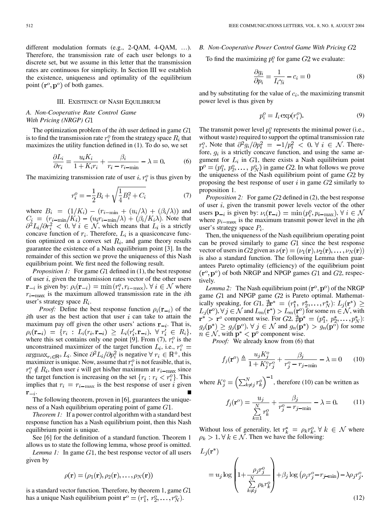different modulation formats (e.g., 2-QAM, 4-QAM, ...). Therefore, the transmission rate of each user belongs to a discrete set, but we assume in this letter that the transmission rates are continuous for simplicity. In Section III we establish the existence, uniqueness and optimality of the equilibrium point  $(\mathbf{r}^o, \mathbf{p}^o)$  of both games.

#### III. EXISTENCE OF NASH EQUILIBRIUM

### *A. Non-Cooperative Rate Control Game With Pricing (NRGP)*

The optimization problem of the  $i$ th user defined in game  $G1$ is to find the transmission rate  $r_i^o$  from the strategy space  $R_i$  that maximizes the utility function defined in (1). To do so, we set

$$
\frac{\partial L_i}{\partial r_i} = \frac{u_i K_i}{1 + K_i r_i} + \frac{\beta_i}{r_i - r_{i-\min}} - \lambda = 0.
$$
 (6)

The maximizing transmission rate of user i,  $r_i^o$  is thus given by

$$
r_i^o = -\frac{1}{2}B_i + \sqrt{\frac{1}{4}B_i^2 + C_i}
$$
 (7)

where  $B_i = (1/K_i) - (r_{i-min} + (u_i/\lambda) + (\beta_i/\lambda))$  and . Note that ,  $\forall i \in \mathcal{N}$ , which means that  $L_i$  is a strictly concave function of  $r_i$ . Therefore,  $L_i$  is a quasiconcave function optimized on a convex set  $R_i$ , and game theory results guarantee the existence of a Nash equilibrium point [[3\]](#page-3-0). In the remainder of this section we prove the uniqueness of this Nash equilibrium point. We first need the following result.

*Proposition 1:* For game  $G1$  defined in (1), the best response of user  $i$ , given the transmission rates vector of the other users  $\mathbf{r}_{-i}$  is given by:  $\rho_i(\mathbf{r}_{-i}) = \min(r_i^o, r_{i-\max})$ ,  $\forall i \in \mathcal{N}$  where  $r_{i-max}$  is the maximum allowed transmission rate in the *i*th user's strategy space  $R_i$ .

*Proof:* Define the best response function  $\rho_i(\mathbf{r}_{-i})$  of the ith user as the best action that user  $i$  can take to attain the maximum pay off given the other users' actions  $\mathbf{r}_{-i}$ . That is,  $\rho_i(\mathbf{r}_{-i}) = \{r_i : L_i(r_i, \mathbf{r}_{-i}) \geq L_i(r'_i, \mathbf{r}_{-i}), \forall r'_i \in R_i\},$ where this set contains only one point [\[9](#page-3-0)]. From (7),  $r_i^o$  is the unconstrained maximizer of the target function  $L_i$ , i.e.,  $r_i^o$  =  $\operatorname{argmax}_{r_i \in \mathbb{R}^+} L_i$ . Since  $\partial^2 L_i / \partial p_i^2$  is negative  $\forall r_i \in \mathbb{R}^+$ , this maximizer is unique. Now, assume that  $r_i^o$  is not feasible, that is,  $r_i^o \notin R_i$ , then user i will get his/her maximum at  $r_{i-\max}$  since the target function is increasing on the set  $\{r_i : r_i \leq r_i^o\}$ . This implies that  $r_i = r_{i-\text{max}}$  is the best response of user i given  $\mathbf{r}_{-i}$ .

The following theorem, proven in [\[6](#page-3-0)], guarantees the uniqueness of a Nash equilibrium operating point of game  $G1$ .

*Theorem 1:* If a power control algorithm with a standard best response function has a Nash equilibrium point, then this Nash equilibrium point is unique.

See [\[6](#page-3-0)] for the definition of a standard function. Theorem 1 allows us to state the following lemma, whose proof is omitted.

*Lemma 1:* In game  $G1$ , the best response vector of all users given by

$$
\rho(\mathbf{r}) = (\rho_1(\mathbf{r}), \rho_2(\mathbf{r}), \dots, \rho_N(\mathbf{r}))
$$

is a standard vector function. Therefore, by theorem 1, game  $G1$ has a unique Nash equilibrium point  $\mathbf{r}^o = (r_1^o, r_2^o, \dots, r_N^o)$ .

## *B. Non-Cooperative Power Control Game With Pricing*

To find the maximizing  $p_i^o$  for game  $G2$  we evaluate:

$$
\frac{\partial g_i}{\partial p_i} = \frac{1}{I_i \gamma_i} - c_i = 0 \tag{8}
$$

and by substituting for the value of  $c_i$ , the maximizing transmit power level is thus given by

$$
p_i^o = I_i \exp(r_i^o). \tag{9}
$$

The transmit power level  $p_i^o$  represents the minimal power (i.e., without waste) required to support the optimal transmission rate  $r_i^o$ , Note that  $\partial^2 g_i / \partial p_i^2 = -1/p_i^2 < 0, \forall i \in \mathcal{N}$ . Therefore,  $g_i$  is a strictly concave function, and using the same argument for  $L_i$  in  $G1$ , there exists a Nash equilibrium point  $\mathbf{p}^o = (p_1^o, p_2^o, \dots, p_N^o)$  in game G2. In what follows we prove the uniqueness of the Nash equilibrium point of game  $G2$  by proposing the best response of user i in game  $G2$  similarly to proposition 1.

*Proposition 2:* For game G2 defined in (2), the best response of user  $i$ , given the transmit power levels vector of the other users  $\mathbf{p}_{-i}$  is given by:  $\nu_i(\mathbf{r}_{-i}) = \min (p_i^o, p_{i-\max}), \forall i \in \mathcal{N}$ where  $p_{i-max}$  is the maximum transmit power level in the *i*th user's strategy space  $P_i$ .

Then, the uniqueness of the Nash equilibrium operating point can be proved similarly to game  $G1$  since the best response vector of users in G2 given as  $\nu(\mathbf{r}) = (\nu_1(\mathbf{r}), \nu_2(\mathbf{r}), \dots, \nu_N(\mathbf{r}))$ is also a standard function. The following Lemma then guarantees Pareto optimality (efficiency) of the equilibrium point  $(\mathbf{r}^o, \mathbf{p}^o)$  of both NRGP and NPGP games  $G1$  and  $G2$ , respectively.

*Lemma 2:* The Nash equilibrium point  $(\mathbf{r}^{\circ}, \mathbf{p}^{\circ})$  of the NRGP game  $G1$  and NPGP game  $G2$  is Pareto optimal. Mathematically speaking, for G1,  $\sharp \mathbf{r}^* = (r_1^*, r_2^*, \dots, r_N^*)$ :  $L_j(\mathbf{r}^*) \geq$  $L_j(\mathbf{r}^o), \forall j \in \mathcal{N}$  and  $L_m(\mathbf{r}^*) > L_m(\mathbf{r}^o)$  for some  $m \in \mathcal{N}$ , with  $\mathbf{r}^*$  >  $\mathbf{r}^o$  component wise. For  $G2$ ,  $\mathbf{\nexists p^*} = (p_1^*, p_2^*, \dots, p_N^*)$ :  $g_i(\mathbf{p}^*) \geq g_i(\mathbf{p}^o), \forall j \in \mathcal{N}$  and  $g_n(\mathbf{p}^*) > g_n(\mathbf{p}^0)$  for some  $n \in \mathcal{N}$ , with  $p^* < p^o$  component wise.

*Proof:* We already know from (6) that

$$
f_j(\mathbf{r}^o) \triangleq \frac{u_j K_j^o}{1 + K_j^o r_j^o} + \frac{\beta_j}{r_j^o - r_{j-\min}} - \lambda = 0 \qquad (10)
$$

where  $K_j^o = \left(\sum_{k=1}^N r_k^o\right)^{-1}$ , therefore (10) can be written as

$$
f_j(\mathbf{r}^o) = \frac{u_j}{\sum_{k=1}^N r_k^o} + \frac{\beta_j}{r_j^o - r_{j-\min}} - \lambda = 0.
$$
 (11)

Without loss of generality, let  $r_k^* = \rho_k r_k^o, \forall k \in \mathcal{N}$  where  $\rho_k > 1, \forall k \in \mathcal{N}$ . Then we have the following:

$$
L_j(\mathbf{r}^*)
$$
  
=  $u_j \log \left( 1 + \frac{\rho_j r_j^o}{\sum\limits_{k \neq j}^N \rho_k r_k^o} \right) + \beta_j \log \left( \rho_j r_j^o - r_{j-\min} \right) - \lambda \rho_j r_j^o.$  (12)